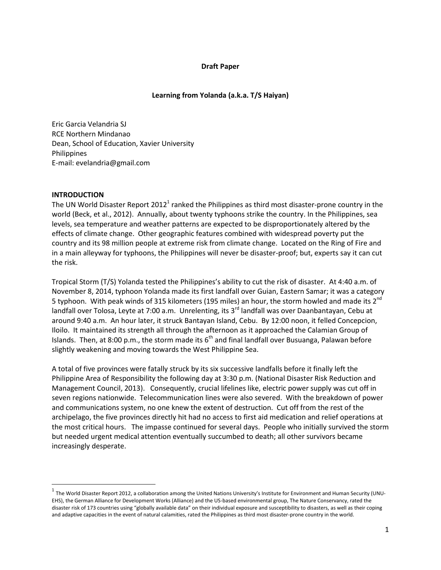### **Draft Paper**

## **Learning from Yolanda (a.k.a. T/S Haiyan)**

Eric Garcia Velandria SJ RCE Northern Mindanao Dean, School of Education, Xavier University Philippines E-mail: evelandria@gmail.com

### **INTRODUCTION**

 $\overline{\phantom{a}}$ 

The UN World Disaster Report 2012<sup>1</sup> ranked the Philippines as third most disaster-prone country in the world (Beck, et al., 2012). Annually, about twenty typhoons strike the country. In the Philippines, sea levels, sea temperature and weather patterns are expected to be disproportionately altered by the effects of climate change. Other geographic features combined with widespread poverty put the country and its 98 million people at extreme risk from climate change. Located on the Ring of Fire and in a main alleyway for typhoons, the Philippines will never be disaster-proof; but, experts say it can cut the risk.

Tropical Storm (T/S) Yolanda tested the Philippines's ability to cut the risk of disaster. At 4:40 a.m. of November 8, 2014, typhoon Yolanda made its first landfall over Guian, Eastern Samar; it was a category 5 typhoon. With peak winds of 315 kilometers (195 miles) an hour, the storm howled and made its  $2^{nd}$ landfall over Tolosa, Leyte at 7:00 a.m. Unrelenting, its 3<sup>rd</sup> landfall was over Daanbantayan, Cebu at around 9:40 a.m. An hour later, it struck Bantayan Island, Cebu. By 12:00 noon, it felled Concepcion, Iloilo. It maintained its strength all through the afternoon as it approached the Calamian Group of Islands. Then, at 8:00 p.m., the storm made its  $6<sup>th</sup>$  and final landfall over Busuanga, Palawan before slightly weakening and moving towards the West Philippine Sea.

A total of five provinces were fatally struck by its six successive landfalls before it finally left the Philippine Area of Responsibility the following day at 3:30 p.m. (National Disaster Risk Reduction and Management Council, 2013). Consequently, crucial lifelines like, electric power supply was cut off in seven regions nationwide. Telecommunication lines were also severed. With the breakdown of power and communications system, no one knew the extent of destruction. Cut off from the rest of the archipelago, the five provinces directly hit had no access to first aid medication and relief operations at the most critical hours. The impasse continued for several days. People who initially survived the storm but needed urgent medical attention eventually succumbed to death; all other survivors became increasingly desperate.

 $^{\rm 1}$  The World Disaster Report 2012, a collaboration among the United Nations University's Institute for Environment and Human Security (UNU-EHS), the German Alliance for Development Works (Alliance) and the US-based environmental group, The Nature Conservancy, rated the disaster risk of 173 countries using "globally available data" on their individual exposure and susceptibility to disasters, as well as their coping and adaptive capacities in the event of natural calamities, rated the Philippines as third most disaster-prone country in the world.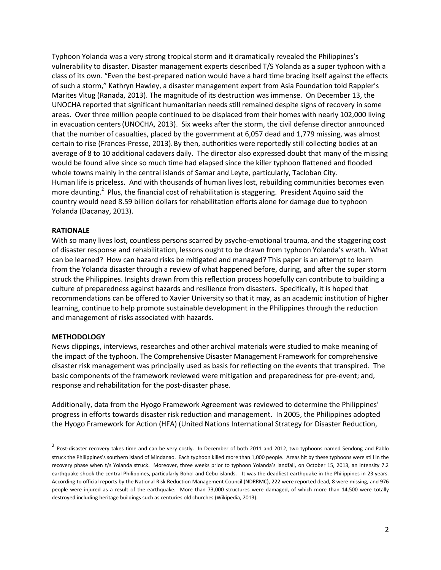Typhoon Yolanda was a very strong tropical storm and it dramatically revealed the Philippines's vulnerability to disaster. Disaster management experts described T/S Yolanda as a super typhoon with a class of its own. "Even the best-prepared nation would have a hard time bracing itself against the effects of such a storm," Kathryn Hawley, a disaster management expert from Asia Foundation told Rappler's Marites Vitug (Ranada, 2013). The magnitude of its destruction was immense. On December 13, the UNOCHA reported that significant humanitarian needs still remained despite signs of recovery in some areas. Over three million people continued to be displaced from their homes with nearly 102,000 living in evacuation centers(UNOCHA, 2013). Six weeks after the storm, the civil defense director announced that the number of casualties, placed by the government at 6,057 dead and 1,779 missing, was almost certain to rise (Frances-Presse, 2013). By then, authorities were reportedly still collecting bodies at an average of 8 to 10 additional cadavers daily. The director also expressed doubt that many of the missing would be found alive since so much time had elapsed since the killer typhoon flattened and flooded whole towns mainly in the central islands of Samar and Leyte, particularly, Tacloban City. Human life is priceless. And with thousands of human lives lost, rebuilding communities becomes even more daunting.<sup>2</sup> Plus, the financial cost of rehabilitation is staggering. President Aquino said the country would need 8.59 billion dollars for rehabilitation efforts alone for damage due to typhoon Yolanda (Dacanay, 2013).

### **RATIONALE**

With so many lives lost, countless persons scarred by psycho-emotional trauma, and the staggering cost of disaster response and rehabilitation, lessons ought to be drawn from typhoon Yolanda's wrath. What can be learned? How can hazard risks be mitigated and managed? This paper is an attempt to learn from the Yolanda disaster through a review of what happened before, during, and after the super storm struck the Philippines. Insights drawn from this reflection process hopefully can contribute to building a culture of preparedness against hazards and resilience from disasters. Specifically, it is hoped that recommendations can be offered to Xavier University so that it may, as an academic institution of higher learning, continue to help promote sustainable development in the Philippines through the reduction and management of risks associated with hazards.

#### **METHODOLOGY**

 $\overline{\phantom{a}}$ 

News clippings, interviews, researches and other archival materials were studied to make meaning of the impact of the typhoon. The Comprehensive Disaster Management Framework for comprehensive disaster risk management was principally used as basis for reflecting on the events that transpired. The basic components of the framework reviewed were mitigation and preparedness for pre-event; and, response and rehabilitation for the post-disaster phase.

Additionally, data from the Hyogo Framework Agreement was reviewed to determine the Philippines' progress in efforts towards disaster risk reduction and management. In 2005, the Philippines adopted the Hyogo Framework for Action (HFA) (United Nations International Strategy for Disaster Reduction,

<sup>&</sup>lt;sup>2</sup> Post-disaster recovery takes time and can be very costly. In December of both 2011 and 2012, two typhoons named Sendong and Pablo struck the Philippines's southern island of Mindanao. Each typhoon killed more than 1,000 people. Areas hit by these typhoons were still in the recovery phase when t/s Yolanda struck. Moreover, three weeks prior to typhoon Yolanda's landfall, on October 15, 2013, an intensity 7.2 earthquake shook the central Philippines, particularly Bohol and Cebu islands. It was the deadliest earthquake in the Philippines in 23 years. According to official reports by the National Risk Reduction Management Council (NDRRMC), 222 were reported dead, 8 were missing, and 976 people were injured as a result of the earthquake. More than 73,000 structures were damaged, of which more than 14,500 were totally destroyed including heritage buildings such as centuries old churches (Wikipedia, 2013).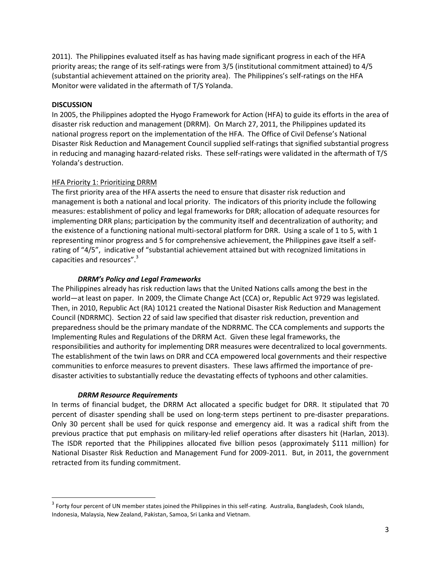2011). The Philippines evaluated itself as has having made significant progress in each of the HFA priority areas; the range of its self-ratings were from 3/5 (institutional commitment attained) to 4/5 (substantial achievement attained on the priority area). The Philippines's self-ratings on the HFA Monitor were validated in the aftermath of T/S Yolanda.

## **DISCUSSION**

In 2005, the Philippines adopted the Hyogo Framework for Action (HFA) to guide its efforts in the area of disaster risk reduction and management (DRRM). On March 27, 2011, the Philippines updated its national progress report on the implementation of the HFA. The Office of Civil Defense's National Disaster Risk Reduction and Management Council supplied self-ratings that signified substantial progress in reducing and managing hazard-related risks. These self-ratings were validated in the aftermath of T/S Yolanda's destruction.

### HFA Priority 1: Prioritizing DRRM

The first priority area of the HFA asserts the need to ensure that disaster risk reduction and management is both a national and local priority. The indicators of this priority include the following measures: establishment of policy and legal frameworks for DRR; allocation of adequate resources for implementing DRR plans; participation by the community itself and decentralization of authority; and the existence of a functioning national multi-sectoral platform for DRR. Using a scale of 1 to 5, with 1 representing minor progress and 5 for comprehensive achievement, the Philippines gave itself a selfrating of "4/5", indicative of "substantial achievement attained but with recognized limitations in capacities and resources".<sup>3</sup>

### *DRRM's Policy and Legal Frameworks*

The Philippines already has risk reduction laws that the United Nations calls among the best in the world—at least on paper. In 2009, the Climate Change Act (CCA) or, Republic Act 9729 was legislated. Then, in 2010, Republic Act (RA) 10121 created the National Disaster Risk Reduction and Management Council (NDRRMC). Section 22 of said law specified that disaster risk reduction, prevention and preparedness should be the primary mandate of the NDRRMC. The CCA complements and supports the Implementing Rules and Regulations of the DRRM Act. Given these legal frameworks, the responsibilities and authority for implementing DRR measures were decentralized to local governments. The establishment of the twin laws on DRR and CCA empowered local governments and their respective communities to enforce measures to prevent disasters. These laws affirmed the importance of predisaster activities to substantially reduce the devastating effects of typhoons and other calamities.

### *DRRM Resource Requirements*

 $\overline{\phantom{a}}$ 

In terms of financial budget, the DRRM Act allocated a specific budget for DRR. It stipulated that 70 percent of disaster spending shall be used on long-term steps pertinent to pre-disaster preparations. Only 30 percent shall be used for quick response and emergency aid. It was a radical shift from the previous practice that put emphasis on military-led relief operations after disasters hit (Harlan, 2013). The ISDR reported that the Philippines allocated five billion pesos (approximately \$111 million) for National Disaster Risk Reduction and Management Fund for 2009-2011. But, in 2011, the government retracted from its funding commitment.

 $^3$  Forty four percent of UN member states joined the Philippines in this self-rating. Australia, Bangladesh, Cook Islands, Indonesia, Malaysia, New Zealand, Pakistan, Samoa, Sri Lanka and Vietnam.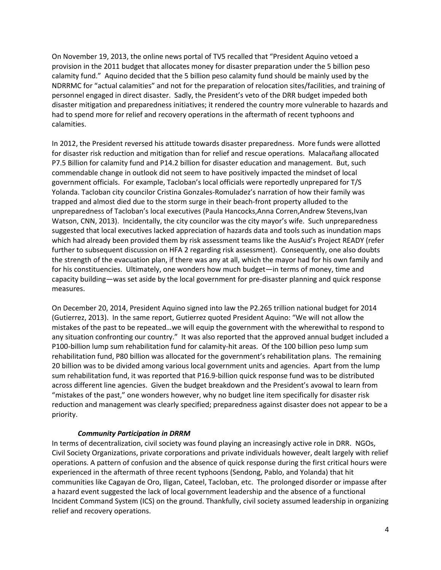On November 19, 2013, the online news portal of TV5 recalled that "President Aquino vetoed a provision in the 2011 budget that allocates money for disaster preparation under the 5 billion peso calamity fund." Aquino decided that the 5 billion peso calamity fund should be mainly used by the NDRRMC for "actual calamities" and not for the preparation of relocation sites/facilities, and training of personnel engaged in direct disaster. Sadly, the President's veto of the DRR budget impeded both disaster mitigation and preparedness initiatives; it rendered the country more vulnerable to hazards and had to spend more for relief and recovery operations in the aftermath of recent typhoons and calamities.

In 2012, the President reversed his attitude towards disaster preparedness. More funds were allotted for disaster risk reduction and mitigation than for relief and rescue operations. Malacañang allocated P7.5 Billion for calamity fund and P14.2 billion for disaster education and management. But, such commendable change in outlook did not seem to have positively impacted the mindset of local government officials. For example, Tacloban's local officials were reportedly unprepared for T/S Yolanda. Tacloban city councilor Cristina Gonzales-Romuladez's narration of how their family was trapped and almost died due to the storm surge in their beach-front property alluded to the unpreparedness of Tacloban's local executives (Paula Hancocks,Anna Corren,Andrew Stevens,Ivan Watson, CNN, 2013). Incidentally, the city councilor was the city mayor's wife. Such unpreparedness suggested that local executives lacked appreciation of hazards data and tools such as inundation maps which had already been provided them by risk assessment teams like the AusAid's Project READY (refer further to subsequent discussion on HFA 2 regarding risk assessment). Consequently, one also doubts the strength of the evacuation plan, if there was any at all, which the mayor had for his own family and for his constituencies. Ultimately, one wonders how much budget—in terms of money, time and capacity building—was set aside by the local government for pre-disaster planning and quick response measures.

On December 20, 2014, President Aquino signed into law the P2.265 trillion national budget for 2014 (Gutierrez, 2013). In the same report, Gutierrez quoted President Aquino: "We will not allow the mistakes of the past to be repeated…we will equip the government with the wherewithal to respond to any situation confronting our country." It was also reported that the approved annual budget included a P100-billion lump sum rehabilitation fund for calamity-hit areas. Of the 100 billion peso lump sum rehabilitation fund, P80 billion was allocated for the government's rehabilitation plans. The remaining 20 billion was to be divided among various local government units and agencies. Apart from the lump sum rehabilitation fund, it was reported that P16.9-billion quick response fund was to be distributed across different line agencies. Given the budget breakdown and the President's avowal to learn from "mistakes of the past," one wonders however, why no budget line item specifically for disaster risk reduction and management was clearly specified; preparedness against disaster does not appear to be a priority.

# *Community Participation in DRRM*

In terms of decentralization, civil society was found playing an increasingly active role in DRR. NGOs, Civil Society Organizations, private corporations and private individuals however, dealt largely with relief operations. A pattern of confusion and the absence of quick response during the first critical hours were experienced in the aftermath of three recent typhoons (Sendong, Pablo, and Yolanda) that hit communities like Cagayan de Oro, Iligan, Cateel, Tacloban, etc. The prolonged disorder or impasse after a hazard event suggested the lack of local government leadership and the absence of a functional Incident Command System (ICS) on the ground. Thankfully, civil society assumed leadership in organizing relief and recovery operations.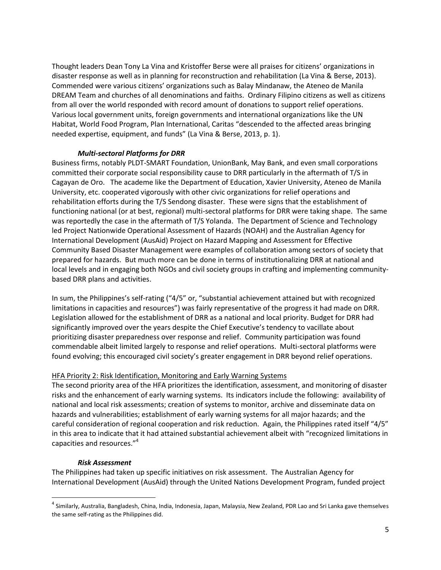Thought leaders Dean Tony La Vina and Kristoffer Berse were all praises for citizens' organizations in disaster response as well as in planning for reconstruction and rehabilitation (La Vina & Berse, 2013). Commended were various citizens' organizations such as Balay Mindanaw, the Ateneo de Manila DREAM Team and churches of all denominations and faiths. Ordinary Filipino citizens as well as citizens from all over the world responded with record amount of donations to support relief operations. Various local government units, foreign governments and international organizations like the UN Habitat, World Food Program, Plan International, Caritas "descended to the affected areas bringing needed expertise, equipment, and funds" (La Vina & Berse, 2013, p. 1).

### *Multi-sectoral Platforms for DRR*

Business firms, notably PLDT-SMART Foundation, UnionBank, May Bank, and even small corporations committed their corporate social responsibility cause to DRR particularly in the aftermath of T/S in Cagayan de Oro. The academe like the Department of Education, Xavier University, Ateneo de Manila University, etc. cooperated vigorously with other civic organizations for relief operations and rehabilitation efforts during the T/S Sendong disaster. These were signs that the establishment of functioning national (or at best, regional) multi-sectoral platforms for DRR were taking shape. The same was reportedly the case in the aftermath of T/S Yolanda. The Department of Science and Technology led Project Nationwide Operational Assessment of Hazards (NOAH) and the Australian Agency for International Development (AusAid) Project on Hazard Mapping and Assessment for Effective Community Based Disaster Management were examples of collaboration among sectors of society that prepared for hazards. But much more can be done in terms of institutionalizing DRR at national and local levels and in engaging both NGOs and civil society groups in crafting and implementing communitybased DRR plans and activities.

In sum, the Philippines's self-rating ("4/5" or, "substantial achievement attained but with recognized limitations in capacities and resources") was fairly representative of the progress it had made on DRR. Legislation allowed for the establishment of DRR as a national and local priority. Budget for DRR had significantly improved over the years despite the Chief Executive's tendency to vacillate about prioritizing disaster preparedness over response and relief. Community participation was found commendable albeit limited largely to response and relief operations. Multi-sectoral platforms were found evolving; this encouraged civil society's greater engagement in DRR beyond relief operations.

### HFA Priority 2: Risk Identification, Monitoring and Early Warning Systems

The second priority area of the HFA prioritizes the identification, assessment, and monitoring of disaster risks and the enhancement of early warning systems. Its indicators include the following: availability of national and local risk assessments; creation of systems to monitor, archive and disseminate data on hazards and vulnerabilities; establishment of early warning systems for all major hazards; and the careful consideration of regional cooperation and risk reduction. Again, the Philippines rated itself "4/5" in this area to indicate that it had attained substantial achievement albeit with "recognized limitations in capacities and resources."<sup>4</sup>

### *Risk Assessment*

 $\overline{\phantom{a}}$ 

The Philippines had taken up specific initiatives on risk assessment. The Australian Agency for International Development (AusAid) through the United Nations Development Program, funded project

<sup>&</sup>lt;sup>4</sup> Similarly, Australia, Bangladesh, China, India, Indonesia, Japan, Malaysia, New Zealand, PDR Lao and Sri Lanka gave themselves the same self-rating as the Philippines did.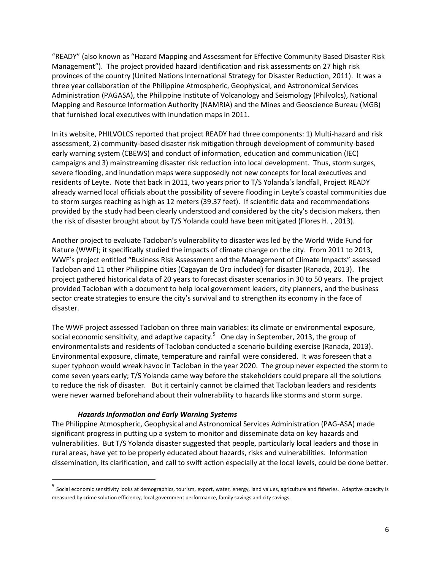"READY" (also known as "Hazard Mapping and Assessment for Effective Community Based Disaster Risk Management"). The project provided hazard identification and risk assessments on 27 high risk provinces of the country (United Nations International Strategy for Disaster Reduction, 2011). It was a three year collaboration of the Philippine Atmospheric, Geophysical, and Astronomical Services Administration (PAGASA), the Philippine Institute of Volcanology and Seismology (Philvolcs), National Mapping and Resource Information Authority (NAMRIA) and the Mines and Geoscience Bureau (MGB) that furnished local executives with inundation maps in 2011.

In its website, PHILVOLCS reported that project READY had three components: 1) Multi-hazard and risk assessment, 2) community-based disaster risk mitigation through development of community-based early warning system (CBEWS) and conduct of information, education and communication (IEC) campaigns and 3) mainstreaming disaster risk reduction into local development. Thus, storm surges, severe flooding, and inundation maps were supposedly not new concepts for local executives and residents of Leyte. Note that back in 2011, two years prior to T/S Yolanda's landfall, Project READY already warned local officials about the possibility of severe flooding in Leyte's coastal communities due to storm surges reaching as high as 12 meters (39.37 feet). If scientific data and recommendations provided by the study had been clearly understood and considered by the city's decision makers, then the risk of disaster brought about by T/S Yolanda could have been mitigated (Flores H. , 2013).

Another project to evaluate Tacloban's vulnerability to disaster was led by the World Wide Fund for Nature (WWF); it specifically studied the impacts of climate change on the city. From 2011 to 2013, WWF's project entitled "Business Risk Assessment and the Management of Climate Impacts" assessed Tacloban and 11 other Philippine cities (Cagayan de Oro included) for disaster (Ranada, 2013). The project gathered historical data of 20 years to forecast disaster scenarios in 30 to 50 years. The project provided Tacloban with a document to help local government leaders, city planners, and the business sector create strategies to ensure the city's survival and to strengthen its economy in the face of disaster.

The WWF project assessed Tacloban on three main variables: its climate or environmental exposure, social economic sensitivity, and adaptive capacity.<sup>5</sup> One day in September, 2013, the group of environmentalists and residents of Tacloban conducted a scenario building exercise (Ranada, 2013). Environmental exposure, climate, temperature and rainfall were considered. It was foreseen that a super typhoon would wreak havoc in Tacloban in the year 2020. The group never expected the storm to come seven years early; T/S Yolanda came way before the stakeholders could prepare all the solutions to reduce the risk of disaster. But it certainly cannot be claimed that Tacloban leaders and residents were never warned beforehand about their vulnerability to hazards like storms and storm surge.

### *Hazards Information and Early Warning Systems*

The Philippine Atmospheric, Geophysical and Astronomical Services Administration (PAG-ASA) made significant progress in putting up a system to monitor and disseminate data on key hazards and vulnerabilities. But T/S Yolanda disaster suggested that people, particularly local leaders and those in rural areas, have yet to be properly educated about hazards, risks and vulnerabilities. Information dissemination, its clarification, and call to swift action especially at the local levels, could be done better.

 5 Social economic sensitivity looks at demographics, tourism, export, water, energy, land values, agriculture and fisheries. Adaptive capacity is measured by crime solution efficiency, local government performance, family savings and city savings.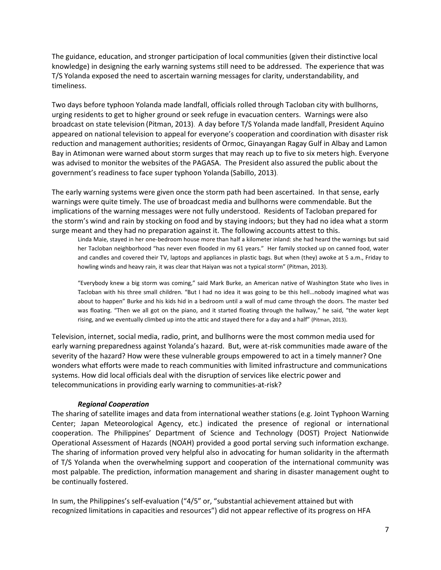The guidance, education, and stronger participation of local communities (given their distinctive local knowledge) in designing the early warning systems still need to be addressed. The experience that was T/S Yolanda exposed the need to ascertain warning messages for clarity, understandability, and timeliness.

Two days before typhoon Yolanda made landfall, officials rolled through Tacloban city with bullhorns, urging residents to get to higher ground or seek refuge in evacuation centers. Warnings were also broadcast on state television (Pitman, 2013). A day before T/S Yolanda made landfall, President Aquino appeared on national television to appeal for everyone's cooperation and coordination with disaster risk reduction and management authorities; residents of Ormoc, Ginayangan Ragay Gulf in Albay and Lamon Bay in Atimonan were warned about storm surges that may reach up to five to six meters high. Everyone was advised to monitor the websites of the PAGASA. The President also assured the public about the government's readiness to face super typhoon Yolanda (Sabillo, 2013).

The early warning systems were given once the storm path had been ascertained. In that sense, early warnings were quite timely. The use of broadcast media and bullhorns were commendable. But the implications of the warning messages were not fully understood. Residents of Tacloban prepared for the storm's wind and rain by stocking on food and by staying indoors; but they had no idea what a storm surge meant and they had no preparation against it. The following accounts attest to this.

Linda Maie, stayed in her one-bedroom house more than half a kilometer inland: she had heard the warnings but said her Tacloban neighborhood "has never even flooded in my 61 years." Her family stocked up on canned food, water and candles and covered their TV, laptops and appliances in plastic bags. But when (they) awoke at 5 a.m., Friday to howling winds and heavy rain, it was clear that Haiyan was not a typical storm" (Pitman, 2013).

"Everybody knew a big storm was coming," said Mark Burke, an American native of Washington State who lives in Tacloban with his three small children. "But I had no idea it was going to be this hell…nobody imagined what was about to happen" Burke and his kids hid in a bedroom until a wall of mud came through the doors. The master bed was floating. "Then we all got on the piano, and it started floating through the hallway," he said, "the water kept rising, and we eventually climbed up into the attic and stayed there for a day and a half" (Pitman, 2013).

Television, internet, social media, radio, print, and bullhorns were the most common media used for early warning preparedness against Yolanda's hazard. But, were at-risk communities made aware of the severity of the hazard? How were these vulnerable groups empowered to act in a timely manner? One wonders what efforts were made to reach communities with limited infrastructure and communications systems. How did local officials deal with the disruption of services like electric power and telecommunications in providing early warning to communities-at-risk?

### *Regional Cooperation*

The sharing of satellite images and data from international weather stations (e.g. Joint Typhoon Warning Center; Japan Meteorological Agency, etc.) indicated the presence of regional or international cooperation. The Philippines' Department of Science and Technology (DOST) Project Nationwide Operational Assessment of Hazards (NOAH) provided a good portal serving such information exchange. The sharing of information proved very helpful also in advocating for human solidarity in the aftermath of T/S Yolanda when the overwhelming support and cooperation of the international community was most palpable. The prediction, information management and sharing in disaster management ought to be continually fostered.

In sum, the Philippines's self-evaluation ("4/5" or, "substantial achievement attained but with recognized limitations in capacities and resources") did not appear reflective of its progress on HFA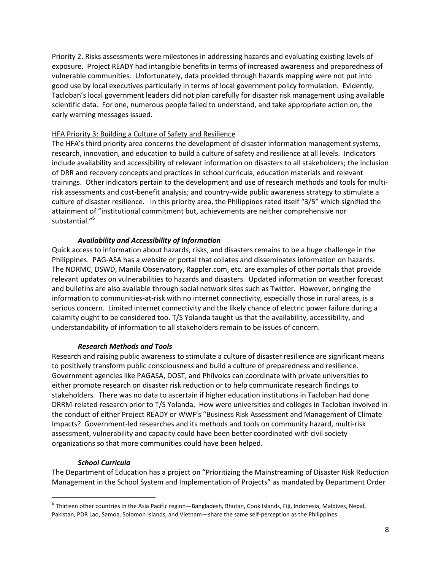Priority 2. Risks assessments were milestones in addressing hazards and evaluating existing levels of exposure. Project READY had intangible benefits in terms of increased awareness and preparedness of vulnerable communities. Unfortunately, data provided through hazards mapping were not put into good use by local executives particularly in terms of local government policy formulation. Evidently, Tacloban's local government leaders did not plan carefully for disaster risk management using available scientific data. For one, numerous people failed to understand, and take appropriate action on, the early warning messages issued.

### HFA Priority 3: Building a Culture of Safety and Resilience

The HFA's third priority area concerns the development of disaster information management systems, research, innovation, and education to build a culture of safety and resilience at all levels. Indicators include availability and accessibility of relevant information on disasters to all stakeholders; the inclusion of DRR and recovery concepts and practices in school curricula, education materials and relevant trainings. Other indicators pertain to the development and use of research methods and tools for multirisk assessments and cost-benefit analysis; and country-wide public awareness strategy to stimulate a culture of disaster resilience. In this priority area, the Philippines rated itself "3/5" which signified the attainment of "institutional commitment but, achievements are neither comprehensive nor substantial."<sup>6</sup>

# *Availability and Accessibility of Information*

Quick access to information about hazards, risks, and disasters remains to be a huge challenge in the Philippines. PAG-ASA has a website or portal that collates and disseminates information on hazards. The NDRMC, DSWD, Manila Observatory, Rappler.com, etc. are examples of other portals that provide relevant updates on vulnerabilities to hazards and disasters. Updated information on weather forecast and bulletins are also available through social network sites such as Twitter. However, bringing the information to communities-at-risk with no internet connectivity, especially those in rural areas, is a serious concern. Limited internet connectivity and the likely chance of electric power failure during a calamity ought to be considered too. T/S Yolanda taught us that the availability, accessibility, and understandability of information to all stakeholders remain to be issues of concern.

### *Research Methods and Tools*

Research and raising public awareness to stimulate a culture of disaster resilience are significant means to positively transform public consciousness and build a culture of preparedness and resilience. Government agencies like PAGASA, DOST, and Philvolcs can coordinate with private universities to either promote research on disaster risk reduction or to help communicate research findings to stakeholders. There was no data to ascertain if higher education institutions in Tacloban had done DRRM-related research prior to T/S Yolanda. How were universities and colleges in Tacloban involved in the conduct of either Project READY or WWF's "Business Risk Assessment and Management of Climate Impacts? Government-led researches and its methods and tools on community hazard, multi-risk assessment, vulnerability and capacity could have been better coordinated with civil society organizations so that more communities could have been helped.

# *School Curricula*

The Department of Education has a project on "Prioritizing the Mainstreaming of Disaster Risk Reduction Management in the School System and Implementation of Projects" as mandated by Department Order

 6 Thirteen other countries in the Asia Pacific region—Bangladesh, Bhutan, Cook Islands, Fiji, Indonesia, Maldives, Nepal, Pakistan, PDR Lao, Samoa, Solomon Islands, and Vietnam—share the same self-perception as the Philippines.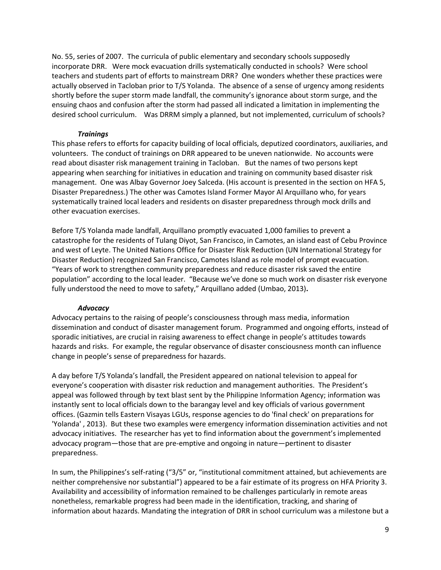No. 55, series of 2007. The curricula of public elementary and secondary schools supposedly incorporate DRR. Were mock evacuation drills systematically conducted in schools? Were school teachers and students part of efforts to mainstream DRR? One wonders whether these practices were actually observed in Tacloban prior to T/S Yolanda. The absence of a sense of urgency among residents shortly before the super storm made landfall, the community's ignorance about storm surge, and the ensuing chaos and confusion after the storm had passed all indicated a limitation in implementing the desired school curriculum. Was DRRM simply a planned, but not implemented, curriculum of schools?

## *Trainings*

This phase refers to efforts for capacity building of local officials, deputized coordinators, auxiliaries, and volunteers. The conduct of trainings on DRR appeared to be uneven nationwide. No accounts were read about disaster risk management training in Tacloban. But the names of two persons kept appearing when searching for initiatives in education and training on community based disaster risk management. One was Albay Governor Joey Salceda. (His account is presented in the section on HFA 5, Disaster Preparedness.) The other was Camotes Island Former Mayor Al Arquillano who, for years systematically trained local leaders and residents on disaster preparedness through mock drills and other evacuation exercises.

Before T/S Yolanda made landfall, Arquillano promptly evacuated 1,000 families to prevent a catastrophe for the residents of Tulang Diyot, San Francisco, in Camotes, an island east of Cebu Province and west of Leyte. The United Nations Office for Disaster Risk Reduction (UN International Strategy for Disaster Reduction) recognized San Francisco, Camotes Island as role model of prompt evacuation. "Years of work to strengthen community preparedness and reduce disaster risk saved the entire population" according to the local leader. "Because we've done so much work on disaster risk everyone fully understood the need to move to safety," Arquillano added (Umbao, 2013)**.** 

### *Advocacy*

Advocacy pertains to the raising of people's consciousness through mass media, information dissemination and conduct of disaster management forum. Programmed and ongoing efforts, instead of sporadic initiatives, are crucial in raising awareness to effect change in people's attitudes towards hazards and risks. For example, the regular observance of disaster consciousness month can influence change in people's sense of preparedness for hazards.

A day before T/S Yolanda's landfall, the President appeared on national television to appeal for everyone's cooperation with disaster risk reduction and management authorities. The President's appeal was followed through by text blast sent by the Philippine Information Agency; information was instantly sent to local officials down to the barangay level and key officials of various government offices. (Gazmin tells Eastern Visayas LGUs, response agencies to do 'final check' on preparations for 'Yolanda' , 2013). But these two examples were emergency information dissemination activities and not advocacy initiatives. The researcher has yet to find information about the government's implemented advocacy program—those that are pre-emptive and ongoing in nature—pertinent to disaster preparedness.

In sum, the Philippines's self-rating ("3/5" or, "institutional commitment attained, but achievements are neither comprehensive nor substantial") appeared to be a fair estimate of its progress on HFA Priority 3. Availability and accessibility of information remained to be challenges particularly in remote areas nonetheless, remarkable progress had been made in the identification, tracking, and sharing of information about hazards. Mandating the integration of DRR in school curriculum was a milestone but a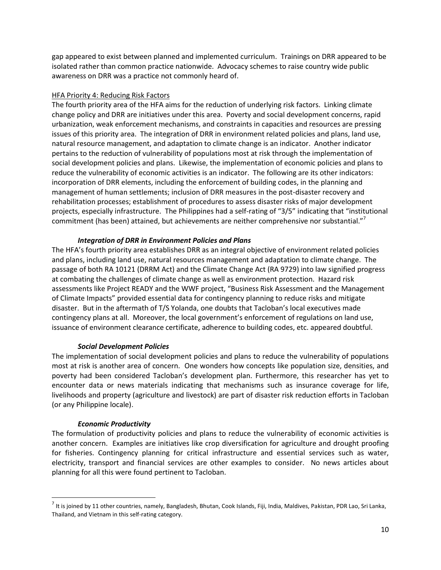gap appeared to exist between planned and implemented curriculum. Trainings on DRR appeared to be isolated rather than common practice nationwide. Advocacy schemes to raise country wide public awareness on DRR was a practice not commonly heard of.

### HFA Priority 4: Reducing Risk Factors

The fourth priority area of the HFA aims for the reduction of underlying risk factors. Linking climate change policy and DRR are initiatives under this area. Poverty and social development concerns, rapid urbanization, weak enforcement mechanisms, and constraints in capacities and resources are pressing issues of this priority area. The integration of DRR in environment related policies and plans, land use, natural resource management, and adaptation to climate change is an indicator. Another indicator pertains to the reduction of vulnerability of populations most at risk through the implementation of social development policies and plans. Likewise, the implementation of economic policies and plans to reduce the vulnerability of economic activities is an indicator. The following are its other indicators: incorporation of DRR elements, including the enforcement of building codes, in the planning and management of human settlements; inclusion of DRR measures in the post-disaster recovery and rehabilitation processes; establishment of procedures to assess disaster risks of major development projects, especially infrastructure. The Philippines had a self-rating of "3/5" indicating that "institutional commitment (has been) attained, but achievements are neither comprehensive nor substantial."<sup>7</sup>

# *Integration of DRR in Environment Policies and Plans*

The HFA's fourth priority area establishes DRR as an integral objective of environment related policies and plans, including land use, natural resources management and adaptation to climate change. The passage of both RA 10121 (DRRM Act) and the Climate Change Act (RA 9729) into law signified progress at combating the challenges of climate change as well as environment protection. Hazard risk assessments like Project READY and the WWF project, "Business Risk Assessment and the Management of Climate Impacts" provided essential data for contingency planning to reduce risks and mitigate disaster. But in the aftermath of T/S Yolanda, one doubts that Tacloban's local executives made contingency plans at all. Moreover, the local government's enforcement of regulations on land use, issuance of environment clearance certificate, adherence to building codes, etc. appeared doubtful.

# *Social Development Policies*

The implementation of social development policies and plans to reduce the vulnerability of populations most at risk is another area of concern. One wonders how concepts like population size, densities, and poverty had been considered Tacloban's development plan. Furthermore, this researcher has yet to encounter data or news materials indicating that mechanisms such as insurance coverage for life, livelihoods and property (agriculture and livestock) are part of disaster risk reduction efforts in Tacloban (or any Philippine locale).

# *Economic Productivity*

 $\overline{\phantom{a}}$ 

The formulation of productivity policies and plans to reduce the vulnerability of economic activities is another concern. Examples are initiatives like crop diversification for agriculture and drought proofing for fisheries. Contingency planning for critical infrastructure and essential services such as water, electricity, transport and financial services are other examples to consider. No news articles about planning for all this were found pertinent to Tacloban.

<sup>&</sup>lt;sup>7</sup> It is joined by 11 other countries, namely, Bangladesh, Bhutan, Cook Islands, Fiji, India, Maldives, Pakistan, PDR Lao, Sri Lanka, Thailand, and Vietnam in this self-rating category.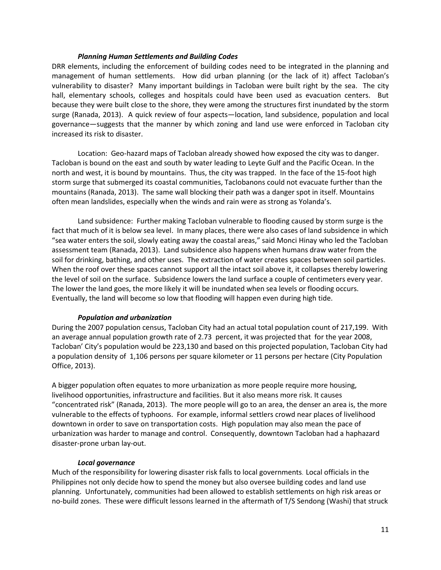### *Planning Human Settlements and Building Codes*

DRR elements, including the enforcement of building codes need to be integrated in the planning and management of human settlements. How did urban planning (or the lack of it) affect Tacloban's vulnerability to disaster? Many important buildings in Tacloban were built right by the sea. The city hall, elementary schools, colleges and hospitals could have been used as evacuation centers. But because they were built close to the shore, they were among the structures first inundated by the storm surge (Ranada, 2013). A quick review of four aspects—location, land subsidence, population and local governance—suggests that the manner by which zoning and land use were enforced in Tacloban city increased its risk to disaster.

Location: Geo-hazard maps of Tacloban already showed how exposed the city was to danger. Tacloban is bound on the east and south by water leading to Leyte Gulf and the Pacific Ocean. In the north and west, it is bound by mountains. Thus, the city was trapped. In the face of the 15-foot high storm surge that submerged its coastal communities, Taclobanons could not evacuate further than the mountains (Ranada, 2013). The same wall blocking their path was a danger spot in itself. Mountains often mean landslides, especially when the winds and rain were as strong as Yolanda's.

Land subsidence: Further making Tacloban vulnerable to flooding caused by storm surge is the fact that much of it is below sea level. In many places, there were also cases of land subsidence in which "sea water enters the soil, slowly eating away the coastal areas," said Monci Hinay who led the Tacloban assessment team (Ranada, 2013). Land subsidence also happens when humans draw water from the soil for drinking, bathing, and other uses. The extraction of water creates spaces between soil particles. When the roof over these spaces cannot support all the intact soil above it, it collapses thereby lowering the level of soil on the surface. Subsidence lowers the land surface a couple of centimeters every year. The lower the land goes, the more likely it will be inundated when sea levels or flooding occurs. Eventually, the land will become so low that flooding will happen even during high tide.

# *Population and urbanization*

During the 2007 population census, Tacloban City had an actual total population count of 217,199. With an average annual population growth rate of 2.73 percent, it was projected that for the year 2008, Tacloban' City's population would be 223,130 and based on this projected population, Tacloban City had a population density of 1,106 persons per square kilometer or 11 persons per hectare (City Population Office, 2013).

A bigger population often equates to more urbanization as more people require more housing, livelihood opportunities, infrastructure and facilities. But it also means more risk. It causes "concentrated risk" (Ranada, 2013). The more people will go to an area, the denser an area is, the more vulnerable to the effects of typhoons. For example, informal settlers crowd near places of livelihood downtown in order to save on transportation costs. High population may also mean the pace of urbanization was harder to manage and control. Consequently, downtown Tacloban had a haphazard disaster-prone urban lay-out.

### *Local governance*

Much of the responsibility for lowering disaster risk falls to local governments. Local officials in the Philippines not only decide how to spend the money but also oversee building codes and land use planning. Unfortunately, communities had been allowed to establish settlements on high risk areas or no-build zones. These were difficult lessons learned in the aftermath of T/S Sendong (Washi) that struck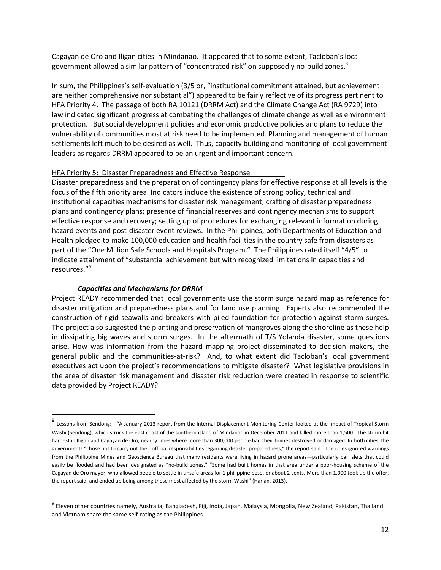Cagayan de Oro and Iligan cities in Mindanao. It appeared that to some extent, Tacloban's local government allowed a similar pattern of "concentrated risk" on supposedly no-build zones.<sup>8</sup>

In sum, the Philippines's self-evaluation (3/5 or, "institutional commitment attained, but achievement are neither comprehensive nor substantial") appeared to be fairly reflective of its progress pertinent to HFA Priority 4. The passage of both RA 10121 (DRRM Act) and the Climate Change Act (RA 9729) into law indicated significant progress at combating the challenges of climate change as well as environment protection. But social development policies and economic productive policies and plans to reduce the vulnerability of communities most at risk need to be implemented. Planning and management of human settlements left much to be desired as well. Thus, capacity building and monitoring of local government leaders as regards DRRM appeared to be an urgent and important concern.

### HFA Priority 5: Disaster Preparedness and Effective Response

Disaster preparedness and the preparation of contingency plans for effective response at all levels is the focus of the fifth priority area. Indicators include the existence of strong policy, technical and institutional capacities mechanisms for disaster risk management; crafting of disaster preparedness plans and contingency plans; presence of financial reserves and contingency mechanisms to support effective response and recovery; setting up of procedures for exchanging relevant information during hazard events and post-disaster event reviews. In the Philippines, both Departments of Education and Health pledged to make 100,000 education and health facilities in the country safe from disasters as part of the "One Million Safe Schools and Hospitals Program." The Philippines rated itself "4/5" to indicate attainment of "substantial achievement but with recognized limitations in capacities and resources."<sup>9</sup>

## *Capacities and Mechanisms for DRRM*

 $\overline{a}$ 

Project READY recommended that local governments use the storm surge hazard map as reference for disaster mitigation and preparedness plans and for land use planning. Experts also recommended the construction of rigid seawalls and breakers with piled foundation for protection against storm surges. The project also suggested the planting and preservation of mangroves along the shoreline as these help in dissipating big waves and storm surges. In the aftermath of T/S Yolanda disaster, some questions arise. How was information from the hazard mapping project disseminated to decision makers, the general public and the communities-at-risk? And, to what extent did Tacloban's local government executives act upon the project's recommendations to mitigate disaster? What legislative provisions in the area of disaster risk management and disaster risk reduction were created in response to scientific data provided by Project READY?

<sup>8&</sup>lt;br>Clessons from Sendong: "A January 2013 report from the Internal Displacement Monitoring Center looked at the impact of Tropical Storm Washi (Sendong), which struck the east coast of the southern island of Mindanao in December 2011 and killed more than 1,500. The storm hit hardest in Iligan and Cagayan de Oro, nearby cities where more than 300,000 people had their homes destroyed or damaged. In both cities, the governments "chose not to carry out their official responsibilities regarding disaster preparedness," the report said. The cities ignored warnings from the Philippine Mines and Geoscience Bureau that many residents were living in hazard prone areas—particularly bar islets that could easily be flooded and had been designated as "no-build zones." "Some had built homes in that area under a poor-housing scheme of the Cagayan de Oro mayor, who allowed people to settle in unsafe areas for 1 philippine peso, or about 2 cents. More than 1,000 took up the offer, the report said, and ended up being among those most affected by the storm Washi" (Harlan, 2013).

<sup>&</sup>lt;sup>9</sup> Eleven other countries namely, Australia, Bangladesh, Fiji, India, Japan, Malaysia, Mongolia, New Zealand, Pakistan, Thailand and Vietnam share the same self-rating as the Philippines.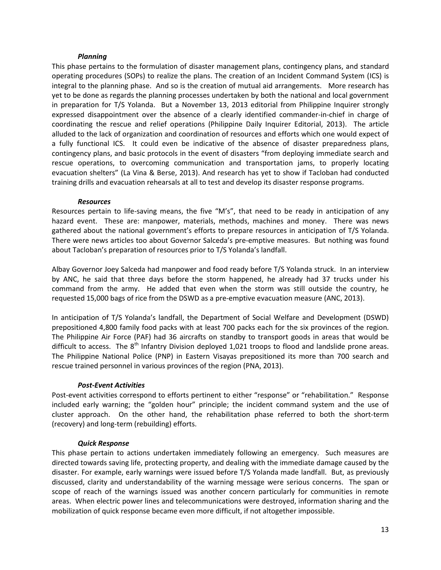### *Planning*

This phase pertains to the formulation of disaster management plans, contingency plans, and standard operating procedures (SOPs) to realize the plans. The creation of an Incident Command System (ICS) is integral to the planning phase. And so is the creation of mutual aid arrangements. More research has yet to be done as regards the planning processes undertaken by both the national and local government in preparation for T/S Yolanda. But a November 13, 2013 editorial from Philippine Inquirer strongly expressed disappointment over the absence of a clearly identified commander-in-chief in charge of coordinating the rescue and relief operations (Philippine Daily Inquirer Editorial, 2013). The article alluded to the lack of organization and coordination of resources and efforts which one would expect of a fully functional ICS. It could even be indicative of the absence of disaster preparedness plans, contingency plans, and basic protocols in the event of disasters "from deploying immediate search and rescue operations, to overcoming communication and transportation jams, to properly locating evacuation shelters" (La Vina & Berse, 2013). And research has yet to show if Tacloban had conducted training drills and evacuation rehearsals at all to test and develop its disaster response programs.

### *Resources*

Resources pertain to life-saving means, the five "M's", that need to be ready in anticipation of any hazard event. These are: manpower, materials, methods, machines and money. There was news gathered about the national government's efforts to prepare resources in anticipation of T/S Yolanda. There were news articles too about Governor Salceda's pre-emptive measures. But nothing was found about Tacloban's preparation of resources prior to T/S Yolanda's landfall.

Albay Governor Joey Salceda had manpower and food ready before T/S Yolanda struck. In an interview by ANC, he said that three days before the storm happened, he already had 37 trucks under his command from the army. He added that even when the storm was still outside the country, he requested 15,000 bags of rice from the DSWD as a pre-emptive evacuation measure (ANC, 2013).

In anticipation of T/S Yolanda's landfall, the Department of Social Welfare and Development (DSWD) prepositioned 4,800 family food packs with at least 700 packs each for the six provinces of the region. The Philippine Air Force (PAF) had 36 aircrafts on standby to transport goods in areas that would be difficult to access. The  $8<sup>th</sup>$  Infantry Division deployed 1,021 troops to flood and landslide prone areas. The Philippine National Police (PNP) in Eastern Visayas prepositioned its more than 700 search and rescue trained personnel in various provinces of the region (PNA, 2013).

# *Post-Event Activities*

Post-event activities correspond to efforts pertinent to either "response" or "rehabilitation." Response included early warning; the "golden hour" principle; the incident command system and the use of cluster approach. On the other hand, the rehabilitation phase referred to both the short-term (recovery) and long-term (rebuilding) efforts.

# *Quick Response*

This phase pertain to actions undertaken immediately following an emergency. Such measures are directed towards saving life, protecting property, and dealing with the immediate damage caused by the disaster. For example, early warnings were issued before T/S Yolanda made landfall. But, as previously discussed, clarity and understandability of the warning message were serious concerns. The span or scope of reach of the warnings issued was another concern particularly for communities in remote areas. When electric power lines and telecommunications were destroyed, information sharing and the mobilization of quick response became even more difficult, if not altogether impossible.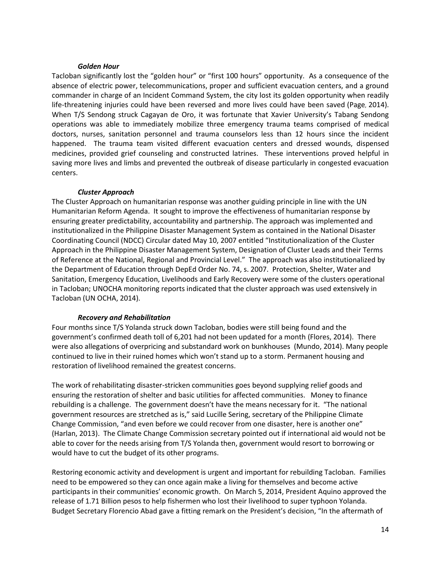### *Golden Hour*

Tacloban significantly lost the "golden hour" or "first 100 hours" opportunity. As a consequence of the absence of electric power, telecommunications, proper and sufficient evacuation centers, and a ground commander in charge of an Incident Command System, the city lost its golden opportunity when readily life-threatening injuries could have been reversed and more lives could have been saved (Page, 2014). When T/S Sendong struck Cagayan de Oro, it was fortunate that Xavier University's Tabang Sendong operations was able to immediately mobilize three emergency trauma teams comprised of medical doctors, nurses, sanitation personnel and trauma counselors less than 12 hours since the incident happened. The trauma team visited different evacuation centers and dressed wounds, dispensed medicines, provided grief counseling and constructed latrines. These interventions proved helpful in saving more lives and limbs and prevented the outbreak of disease particularly in congested evacuation centers.

### *Cluster Approach*

The Cluster Approach on humanitarian response was another guiding principle in line with the UN Humanitarian Reform Agenda. It sought to improve the effectiveness of humanitarian response by ensuring greater predictability, accountability and partnership. The approach was implemented and institutionalized in the Philippine Disaster Management System as contained in the National Disaster Coordinating Council (NDCC) Circular dated May 10, 2007 entitled "Institutionalization of the Cluster Approach in the Philippine Disaster Management System, Designation of Cluster Leads and their Terms of Reference at the National, Regional and Provincial Level." The approach was also institutionalized by the Department of Education through DepEd Order No. 74, s. 2007. Protection, Shelter, Water and Sanitation, Emergency Education, Livelihoods and Early Recovery were some of the clusters operational in Tacloban; UNOCHA monitoring reports indicated that the cluster approach was used extensively in Tacloban (UN OCHA, 2014).

# *Recovery and Rehabilitation*

Four months since T/S Yolanda struck down Tacloban, bodies were still being found and the government's confirmed death toll of 6,201 had not been updated for a month (Flores, 2014). There were also allegations of overpricing and substandard work on bunkhouses (Mundo, 2014). Many people continued to live in their ruined homes which won't stand up to a storm. Permanent housing and restoration of livelihood remained the greatest concerns.

The work of rehabilitating disaster-stricken communities goes beyond supplying relief goods and ensuring the restoration of shelter and basic utilities for affected communities. Money to finance rebuilding is a challenge. The government doesn't have the means necessary for it. "The national government resources are stretched as is," said Lucille Sering, secretary of the Philippine Climate Change Commission, "and even before we could recover from one disaster, here is another one" (Harlan, 2013). The Climate Change Commission secretary pointed out if international aid would not be able to cover for the needs arising from T/S Yolanda then, government would resort to borrowing or would have to cut the budget of its other programs.

Restoring economic activity and development is urgent and important for rebuilding Tacloban. Families need to be empowered so they can once again make a living for themselves and become active participants in their communities' economic growth. On March 5, 2014, President Aquino approved the release of 1.71 Billion pesos to help fishermen who lost their livelihood to super typhoon Yolanda. Budget Secretary Florencio Abad gave a fitting remark on the President's decision, "In the aftermath of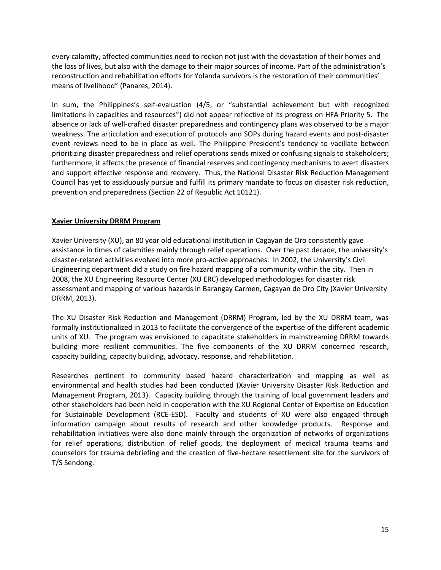every calamity, affected communities need to reckon not just with the devastation of their homes and the loss of lives, but also with the damage to their major sources of income. Part of the administration's reconstruction and rehabilitation efforts for Yolanda survivors is the restoration of their communities' means of livelihood" (Panares, 2014).

In sum, the Philippines's self-evaluation (4/5, or "substantial achievement but with recognized limitations in capacities and resources") did not appear reflective of its progress on HFA Priority 5. The absence or lack of well-crafted disaster preparedness and contingency plans was observed to be a major weakness. The articulation and execution of protocols and SOPs during hazard events and post-disaster event reviews need to be in place as well. The Philippine President's tendency to vacillate between prioritizing disaster preparedness and relief operations sends mixed or confusing signals to stakeholders; furthermore, it affects the presence of financial reserves and contingency mechanisms to avert disasters and support effective response and recovery. Thus, the National Disaster Risk Reduction Management Council has yet to assiduously pursue and fulfill its primary mandate to focus on disaster risk reduction, prevention and preparedness (Section 22 of Republic Act 10121).

# **Xavier University DRRM Program**

Xavier University (XU), an 80 year old educational institution in Cagayan de Oro consistently gave assistance in times of calamities mainly through relief operations. Over the past decade, the university's disaster-related activities evolved into more pro-active approaches. In 2002, the University's Civil Engineering department did a study on fire hazard mapping of a community within the city. Then in 2008, the XU Engineering Resource Center (XU ERC) developed methodologies for disaster risk assessment and mapping of various hazards in Barangay Carmen, Cagayan de Oro City (Xavier University DRRM, 2013).

The XU Disaster Risk Reduction and Management (DRRM) Program, led by the XU DRRM team, was formally institutionalized in 2013 to facilitate the convergence of the expertise of the different academic units of XU. The program was envisioned to capacitate stakeholders in mainstreaming DRRM towards building more resilient communities. The five components of the XU DRRM concerned research, capacity building, capacity building, advocacy, response, and rehabilitation.

Researches pertinent to community based hazard characterization and mapping as well as environmental and health studies had been conducted (Xavier University Disaster Risk Reduction and Management Program, 2013). Capacity building through the training of local government leaders and other stakeholders had been held in cooperation with the XU Regional Center of Expertise on Education for Sustainable Development (RCE-ESD). Faculty and students of XU were also engaged through information campaign about results of research and other knowledge products. Response and rehabilitation initiatives were also done mainly through the organization of networks of organizations for relief operations, distribution of relief goods, the deployment of medical trauma teams and counselors for trauma debriefing and the creation of five-hectare resettlement site for the survivors of T/S Sendong.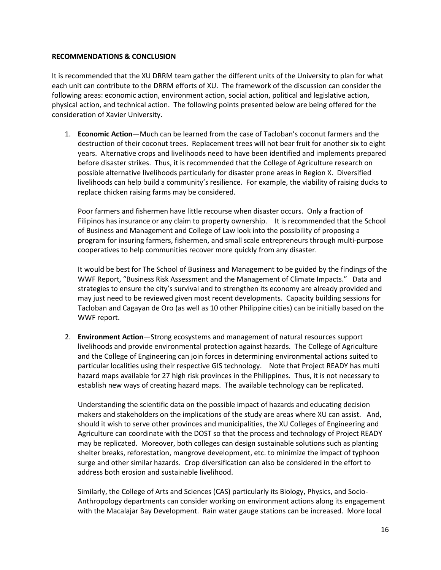## **RECOMMENDATIONS & CONCLUSION**

It is recommended that the XU DRRM team gather the different units of the University to plan for what each unit can contribute to the DRRM efforts of XU. The framework of the discussion can consider the following areas: economic action, environment action, social action, political and legislative action, physical action, and technical action. The following points presented below are being offered for the consideration of Xavier University.

1. **Economic Action**—Much can be learned from the case of Tacloban's coconut farmers and the destruction of their coconut trees. Replacement trees will not bear fruit for another six to eight years. Alternative crops and livelihoods need to have been identified and implements prepared before disaster strikes. Thus, it is recommended that the College of Agriculture research on possible alternative livelihoods particularly for disaster prone areas in Region X. Diversified livelihoods can help build a community's resilience. For example, the viability of raising ducks to replace chicken raising farms may be considered.

Poor farmers and fishermen have little recourse when disaster occurs. Only a fraction of Filipinos has insurance or any claim to property ownership. It is recommended that the School of Business and Management and College of Law look into the possibility of proposing a program for insuring farmers, fishermen, and small scale entrepreneurs through multi-purpose cooperatives to help communities recover more quickly from any disaster.

It would be best for The School of Business and Management to be guided by the findings of the WWF Report, "Business Risk Assessment and the Management of Climate Impacts." Data and strategies to ensure the city's survival and to strengthen its economy are already provided and may just need to be reviewed given most recent developments. Capacity building sessions for Tacloban and Cagayan de Oro (as well as 10 other Philippine cities) can be initially based on the WWF report.

2. **Environment Action**—Strong ecosystems and management of natural resources support livelihoods and provide environmental protection against hazards. The College of Agriculture and the College of Engineering can join forces in determining environmental actions suited to particular localities using their respective GIS technology. Note that Project READY has multi hazard maps available for 27 high risk provinces in the Philippines. Thus, it is not necessary to establish new ways of creating hazard maps. The available technology can be replicated.

Understanding the scientific data on the possible impact of hazards and educating decision makers and stakeholders on the implications of the study are areas where XU can assist. And, should it wish to serve other provinces and municipalities, the XU Colleges of Engineering and Agriculture can coordinate with the DOST so that the process and technology of Project READY may be replicated. Moreover, both colleges can design sustainable solutions such as planting shelter breaks, reforestation, mangrove development, etc. to minimize the impact of typhoon surge and other similar hazards. Crop diversification can also be considered in the effort to address both erosion and sustainable livelihood.

Similarly, the College of Arts and Sciences (CAS) particularly its Biology, Physics, and Socio-Anthropology departments can consider working on environment actions along its engagement with the Macalajar Bay Development. Rain water gauge stations can be increased. More local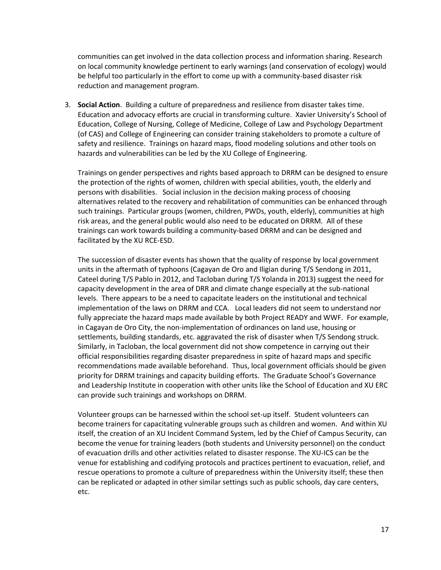communities can get involved in the data collection process and information sharing. Research on local community knowledge pertinent to early warnings (and conservation of ecology) would be helpful too particularly in the effort to come up with a community-based disaster risk reduction and management program.

3. **Social Action**. Building a culture of preparedness and resilience from disaster takes time. Education and advocacy efforts are crucial in transforming culture. Xavier University's School of Education, College of Nursing, College of Medicine, College of Law and Psychology Department (of CAS) and College of Engineering can consider training stakeholders to promote a culture of safety and resilience. Trainings on hazard maps, flood modeling solutions and other tools on hazards and vulnerabilities can be led by the XU College of Engineering.

Trainings on gender perspectives and rights based approach to DRRM can be designed to ensure the protection of the rights of women, children with special abilities, youth, the elderly and persons with disabilities. Social inclusion in the decision making process of choosing alternatives related to the recovery and rehabilitation of communities can be enhanced through such trainings. Particular groups (women, children, PWDs, youth, elderly), communities at high risk areas, and the general public would also need to be educated on DRRM. All of these trainings can work towards building a community-based DRRM and can be designed and facilitated by the XU RCE-ESD.

The succession of disaster events has shown that the quality of response by local government units in the aftermath of typhoons (Cagayan de Oro and Iligian during T/S Sendong in 2011, Cateel during T/S Pablo in 2012, and Tacloban during T/S Yolanda in 2013) suggest the need for capacity development in the area of DRR and climate change especially at the sub-national levels. There appears to be a need to capacitate leaders on the institutional and technical implementation of the laws on DRRM and CCA. Local leaders did not seem to understand nor fully appreciate the hazard maps made available by both Project READY and WWF. For example, in Cagayan de Oro City, the non-implementation of ordinances on land use, housing or settlements, building standards, etc. aggravated the risk of disaster when T/S Sendong struck. Similarly, in Tacloban, the local government did not show competence in carrying out their official responsibilities regarding disaster preparedness in spite of hazard maps and specific recommendations made available beforehand. Thus, local government officials should be given priority for DRRM trainings and capacity building efforts. The Graduate School's Governance and Leadership Institute in cooperation with other units like the School of Education and XU ERC can provide such trainings and workshops on DRRM.

Volunteer groups can be harnessed within the school set-up itself. Student volunteers can become trainers for capacitating vulnerable groups such as children and women. And within XU itself, the creation of an XU Incident Command System, led by the Chief of Campus Security, can become the venue for training leaders (both students and University personnel) on the conduct of evacuation drills and other activities related to disaster response. The XU-ICS can be the venue for establishing and codifying protocols and practices pertinent to evacuation, relief, and rescue operations to promote a culture of preparedness within the University itself; these then can be replicated or adapted in other similar settings such as public schools, day care centers, etc.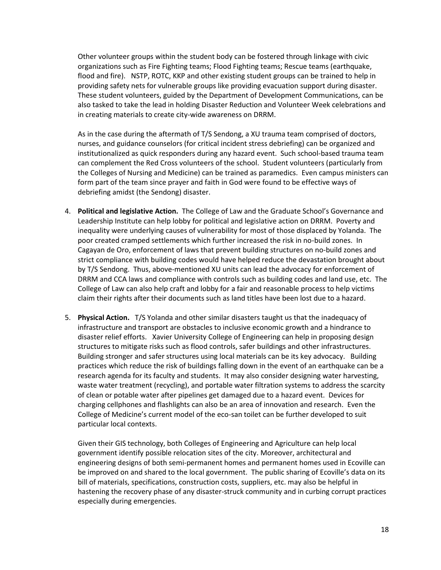Other volunteer groups within the student body can be fostered through linkage with civic organizations such as Fire Fighting teams; Flood Fighting teams; Rescue teams (earthquake, flood and fire). NSTP, ROTC, KKP and other existing student groups can be trained to help in providing safety nets for vulnerable groups like providing evacuation support during disaster. These student volunteers, guided by the Department of Development Communications, can be also tasked to take the lead in holding Disaster Reduction and Volunteer Week celebrations and in creating materials to create city-wide awareness on DRRM.

As in the case during the aftermath of T/S Sendong, a XU trauma team comprised of doctors, nurses, and guidance counselors (for critical incident stress debriefing) can be organized and institutionalized as quick responders during any hazard event. Such school-based trauma team can complement the Red Cross volunteers of the school. Student volunteers (particularly from the Colleges of Nursing and Medicine) can be trained as paramedics. Even campus ministers can form part of the team since prayer and faith in God were found to be effective ways of debriefing amidst (the Sendong) disaster.

- 4. **Political and legislative Action.** The College of Law and the Graduate School's Governance and Leadership Institute can help lobby for political and legislative action on DRRM. Poverty and inequality were underlying causes of vulnerability for most of those displaced by Yolanda. The poor created cramped settlements which further increased the risk in no-build zones. In Cagayan de Oro, enforcement of laws that prevent building structures on no-build zones and strict compliance with building codes would have helped reduce the devastation brought about by T/S Sendong. Thus, above-mentioned XU units can lead the advocacy for enforcement of DRRM and CCA laws and compliance with controls such as building codes and land use, etc. The College of Law can also help craft and lobby for a fair and reasonable process to help victims claim their rights after their documents such as land titles have been lost due to a hazard.
- 5. **Physical Action.** T/S Yolanda and other similar disasters taught us that the inadequacy of infrastructure and transport are obstacles to inclusive economic growth and a hindrance to disaster relief efforts. Xavier University College of Engineering can help in proposing design structures to mitigate risks such as flood controls, safer buildings and other infrastructures. Building stronger and safer structures using local materials can be its key advocacy. Building practices which reduce the risk of buildings falling down in the event of an earthquake can be a research agenda for its faculty and students. It may also consider designing water harvesting, waste water treatment (recycling), and portable water filtration systems to address the scarcity of clean or potable water after pipelines get damaged due to a hazard event. Devices for charging cellphones and flashlights can also be an area of innovation and research. Even the College of Medicine's current model of the eco-san toilet can be further developed to suit particular local contexts.

Given their GIS technology, both Colleges of Engineering and Agriculture can help local government identify possible relocation sites of the city. Moreover, architectural and engineering designs of both semi-permanent homes and permanent homes used in Ecoville can be improved on and shared to the local government. The public sharing of Ecoville's data on its bill of materials, specifications, construction costs, suppliers, etc. may also be helpful in hastening the recovery phase of any disaster-struck community and in curbing corrupt practices especially during emergencies.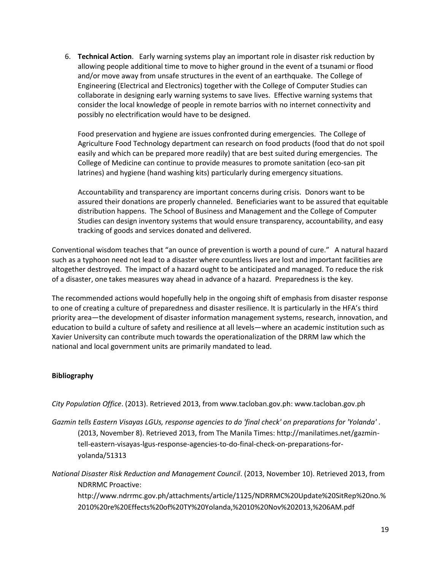6. **Technical Action**. Early warning systems play an important role in disaster risk reduction by allowing people additional time to move to higher ground in the event of a tsunami or flood and/or move away from unsafe structures in the event of an earthquake. The College of Engineering (Electrical and Electronics) together with the College of Computer Studies can collaborate in designing early warning systems to save lives. Effective warning systems that consider the local knowledge of people in remote barrios with no internet connectivity and possibly no electrification would have to be designed.

Food preservation and hygiene are issues confronted during emergencies. The College of Agriculture Food Technology department can research on food products (food that do not spoil easily and which can be prepared more readily) that are best suited during emergencies. The College of Medicine can continue to provide measures to promote sanitation (eco-san pit latrines) and hygiene (hand washing kits) particularly during emergency situations.

Accountability and transparency are important concerns during crisis. Donors want to be assured their donations are properly channeled. Beneficiaries want to be assured that equitable distribution happens. The School of Business and Management and the College of Computer Studies can design inventory systems that would ensure transparency, accountability, and easy tracking of goods and services donated and delivered.

Conventional wisdom teaches that "an ounce of prevention is worth a pound of cure." A natural hazard such as a typhoon need not lead to a disaster where countless lives are lost and important facilities are altogether destroyed. The impact of a hazard ought to be anticipated and managed. To reduce the risk of a disaster, one takes measures way ahead in advance of a hazard. Preparedness is the key.

The recommended actions would hopefully help in the ongoing shift of emphasis from disaster response to one of creating a culture of preparedness and disaster resilience. It is particularly in the HFA's third priority area—the development of disaster information management systems, research, innovation, and education to build a culture of safety and resilience at all levels—where an academic institution such as Xavier University can contribute much towards the operationalization of the DRRM law which the national and local government units are primarily mandated to lead.

# **Bibliography**

*City Population Office*. (2013). Retrieved 2013, from www.tacloban.gov.ph: www.tacloban.gov.ph

*Gazmin tells Eastern Visayas LGUs, response agencies to do 'final check' on preparations for 'Yolanda'* . (2013, November 8). Retrieved 2013, from The Manila Times: http://manilatimes.net/gazmintell-eastern-visayas-lgus-response-agencies-to-do-final-check-on-preparations-foryolanda/51313

*National Disaster Risk Reduction and Management Council*. (2013, November 10). Retrieved 2013, from NDRRMC Proactive:

http://www.ndrrmc.gov.ph/attachments/article/1125/NDRRMC%20Update%20SitRep%20no.% 2010%20re%20Effects%20of%20TY%20Yolanda,%2010%20Nov%202013,%206AM.pdf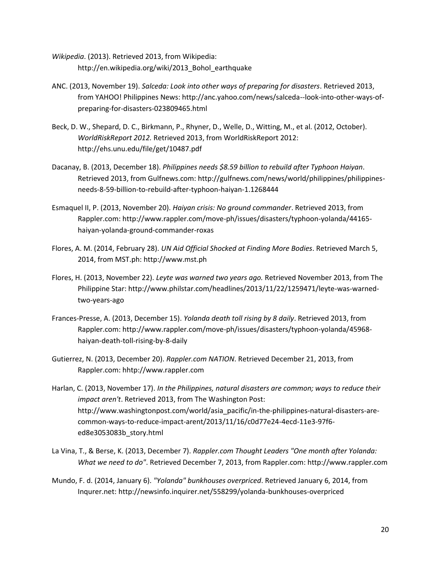- *Wikipedia*. (2013). Retrieved 2013, from Wikipedia: http://en.wikipedia.org/wiki/2013\_Bohol\_earthquake
- ANC. (2013, November 19). *Salceda: Look into other ways of preparing for disasters*. Retrieved 2013, from YAHOO! Philippines News: http://anc.yahoo.com/news/salceda--look-into-other-ways-ofpreparing-for-disasters-023809465.html
- Beck, D. W., Shepard, D. C., Birkmann, P., Rhyner, D., Welle, D., Witting, M., et al. (2012, October). *WorldRiskReport 2012.* Retrieved 2013, from WorldRiskReport 2012: http://ehs.unu.edu/file/get/10487.pdf
- Dacanay, B. (2013, December 18). *Philippines needs \$8.59 billion to rebuild after Typhoon Haiyan*. Retrieved 2013, from Gulfnews.com: http://gulfnews.com/news/world/philippines/philippinesneeds-8-59-billion-to-rebuild-after-typhoon-haiyan-1.1268444
- Esmaquel II, P. (2013, November 20). *Haiyan crisis: No ground commander*. Retrieved 2013, from Rappler.com: http://www.rappler.com/move-ph/issues/disasters/typhoon-yolanda/44165 haiyan-yolanda-ground-commander-roxas
- Flores, A. M. (2014, February 28). *UN Aid Official Shocked at Finding More Bodies*. Retrieved March 5, 2014, from MST.ph: http://www.mst.ph
- Flores, H. (2013, November 22). *Leyte was warned two years ago.* Retrieved November 2013, from The Philippine Star: http://www.philstar.com/headlines/2013/11/22/1259471/leyte-was-warnedtwo-years-ago
- Frances-Presse, A. (2013, December 15). *Yolanda death toll rising by 8 daily*. Retrieved 2013, from Rappler.com: http://www.rappler.com/move-ph/issues/disasters/typhoon-yolanda/45968 haiyan-death-toll-rising-by-8-daily
- Gutierrez, N. (2013, December 20). *Rappler.com NATION*. Retrieved December 21, 2013, from Rappler.com: hhtp://www.rappler.com
- Harlan, C. (2013, November 17). *In the Philippines, natural disasters are common; ways to reduce their impact aren't*. Retrieved 2013, from The Washington Post: http://www.washingtonpost.com/world/asia\_pacific/in-the-philippines-natural-disasters-arecommon-ways-to-reduce-impact-arent/2013/11/16/c0d77e24-4ecd-11e3-97f6 ed8e3053083b\_story.html
- La Vina, T., & Berse, K. (2013, December 7). *Rappler.com Thought Leaders "One month after Yolanda: What we need to do"*. Retrieved December 7, 2013, from Rappler.com: http://www.rappler.com
- Mundo, F. d. (2014, January 6). *"Yolanda" bunkhouses overpriced*. Retrieved January 6, 2014, from Inqurer.net: http://newsinfo.inquirer.net/558299/yolanda-bunkhouses-overpriced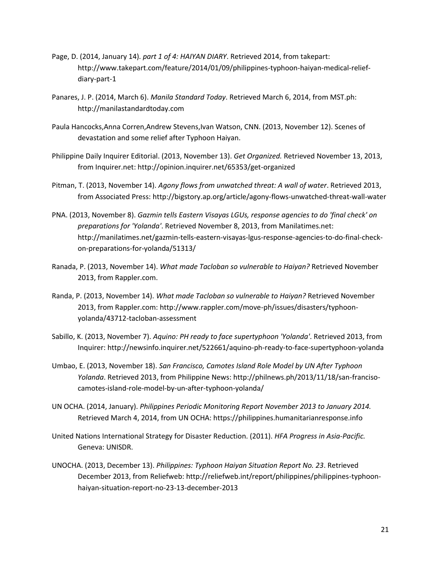- Page, D. (2014, January 14). *part 1 of 4: HAIYAN DIARY*. Retrieved 2014, from takepart: http://www.takepart.com/feature/2014/01/09/philippines-typhoon-haiyan-medical-reliefdiary-part-1
- Panares, J. P. (2014, March 6). *Manila Standard Today*. Retrieved March 6, 2014, from MST.ph: http://manilastandardtoday.com
- Paula Hancocks,Anna Corren,Andrew Stevens,Ivan Watson, CNN. (2013, November 12). Scenes of devastation and some relief after Typhoon Haiyan.
- Philippine Daily Inquirer Editorial. (2013, November 13). *Get Organized.* Retrieved November 13, 2013, from Inquirer.net: http://opinion.inquirer.net/65353/get-organized
- Pitman, T. (2013, November 14). *Agony flows from unwatched threat: A wall of water*. Retrieved 2013, from Associated Press: http://bigstory.ap.org/article/agony-flows-unwatched-threat-wall-water
- PNA. (2013, November 8). *Gazmin tells Eastern Visayas LGUs, response agencies to do 'final check' on preparations for 'Yolanda'*. Retrieved November 8, 2013, from Manilatimes.net: http://manilatimes.net/gazmin-tells-eastern-visayas-lgus-response-agencies-to-do-final-checkon-preparations-for-yolanda/51313/
- Ranada, P. (2013, November 14). *What made Tacloban so vulnerable to Haiyan?* Retrieved November 2013, from Rappler.com.
- Randa, P. (2013, November 14). *What made Tacloban so vulnerable to Haiyan?* Retrieved November 2013, from Rappler.com: http://www.rappler.com/move-ph/issues/disasters/typhoonyolanda/43712-tacloban-assessment
- Sabillo, K. (2013, November 7). *Aquino: PH ready to face supertyphoon 'Yolanda'*. Retrieved 2013, from Inquirer: http://newsinfo.inquirer.net/522661/aquino-ph-ready-to-face-supertyphoon-yolanda
- Umbao, E. (2013, November 18). *San Francisco, Camotes Island Role Model by UN After Typhoon Yolanda*. Retrieved 2013, from Philippine News: http://philnews.ph/2013/11/18/san-francisocamotes-island-role-model-by-un-after-typhoon-yolanda/
- UN OCHA. (2014, January). *Philippines Periodic Monitoring Report November 2013 to January 2014.* Retrieved March 4, 2014, from UN OCHA: https://philippines.humanitarianresponse.info
- United Nations International Strategy for Disaster Reduction. (2011). *HFA Progress in Asia-Pacific.* Geneva: UNISDR.
- UNOCHA. (2013, December 13). *Philippines: Typhoon Haiyan Situation Report No. 23*. Retrieved December 2013, from Reliefweb: http://reliefweb.int/report/philippines/philippines-typhoonhaiyan-situation-report-no-23-13-december-2013